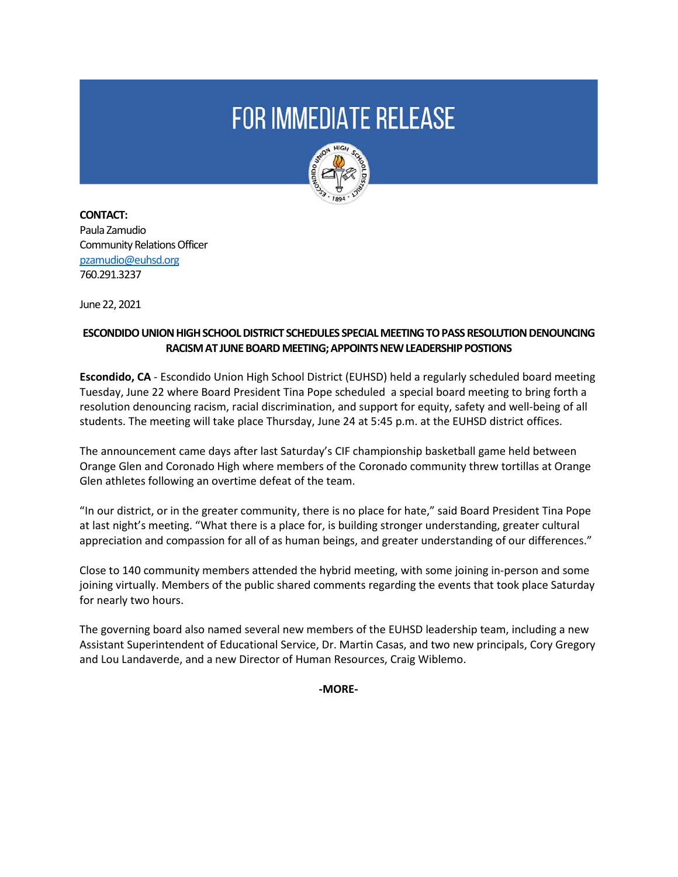# **FOR IMMEDIATE RELEASE**



**CONTACT:**  Paula Zamudio Community Relations Officer [pzamudio@euhsd.org](mailto:pzamudio@euhsd.org) 760.291.3237

June 22, 2021

## **ESCONDIDO UNION HIGH SCHOOL DISTRICT SCHEDULES SPECIAL MEETING TO PASS RESOLUTION DENOUNCING RACISM AT JUNE BOARD MEETING; APPOINTS NEW LEADERSHIP POSTIONS**

**Escondido, CA** - Escondido Union High School District (EUHSD) held a regularly scheduled board meeting Tuesday, June 22 where Board President Tina Pope scheduled a special board meeting to bring forth a resolution denouncing racism, racial discrimination, and support for equity, safety and well-being of all students. The meeting will take place Thursday, June 24 at 5:45 p.m. at the EUHSD district offices.

The announcement came days after last Saturday's CIF championship basketball game held between Orange Glen and Coronado High where members of the Coronado community threw tortillas at Orange Glen athletes following an overtime defeat of the team.

"In our district, or in the greater community, there is no place for hate," said Board President Tina Pope at last night's meeting. "What there is a place for, is building stronger understanding, greater cultural appreciation and compassion for all of as human beings, and greater understanding of our differences."

Close to 140 community members attended the hybrid meeting, with some joining in-person and some joining virtually. Members of the public shared comments regarding the events that took place Saturday for nearly two hours.

The governing board also named several new members of the EUHSD leadership team, including a new Assistant Superintendent of Educational Service, Dr. Martin Casas, and two new principals, Cory Gregory and Lou Landaverde, and a new Director of Human Resources, Craig Wiblemo.

**-MORE-**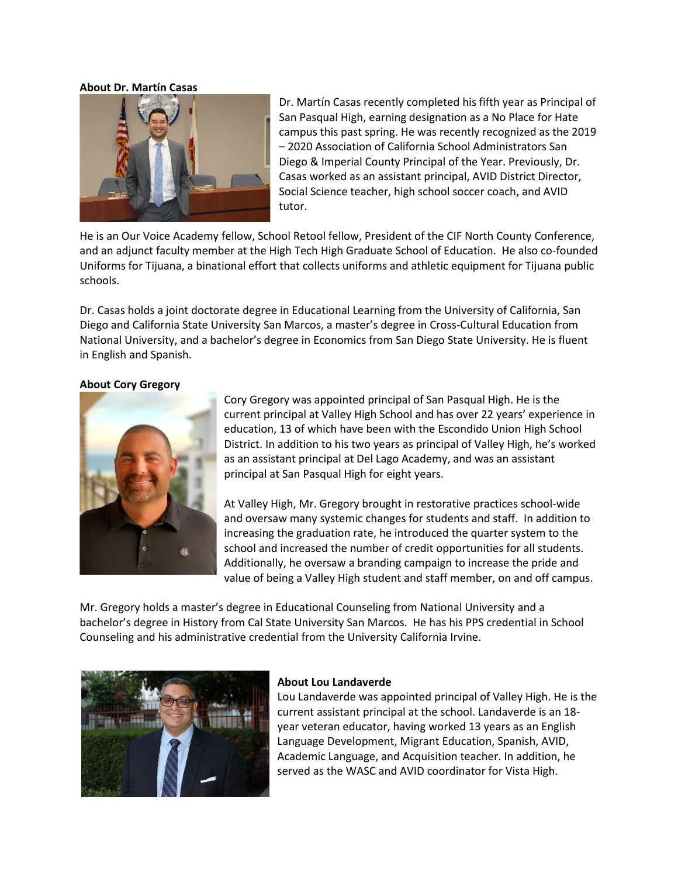#### **About Dr. Martín Casas**



Dr. Martín Casas recently completed his fifth year as Principal of San Pasqual High, earning designation as a No Place for Hate campus this past spring. He was recently recognized as the 2019 – 2020 Association of California School Administrators San Diego & Imperial County Principal of the Year. Previously, Dr. Casas worked as an assistant principal, AVID District Director, Social Science teacher, high school soccer coach, and AVID tutor.

He is an Our Voice Academy fellow, School Retool fellow, President of the CIF North County Conference, and an adjunct faculty member at the High Tech High Graduate School of Education. He also co-founded Uniforms for Tijuana, a binational effort that collects uniforms and athletic equipment for Tijuana public schools.

Dr. Casas holds a joint doctorate degree in Educational Learning from the University of California, San Diego and California State University San Marcos, a master's degree in Cross-Cultural Education from National University, and a bachelor's degree in Economics from San Diego State University. He is fluent in English and Spanish.

#### **About Cory Gregory**



Cory Gregory was appointed principal of San Pasqual High. He is the current principal at Valley High School and has over 22 years' experience in education, 13 of which have been with the Escondido Union High School District. In addition to his two years as principal of Valley High, he's worked as an assistant principal at Del Lago Academy, and was an assistant principal at San Pasqual High for eight years.

At Valley High, Mr. Gregory brought in restorative practices school-wide and oversaw many systemic changes for students and staff. In addition to increasing the graduation rate, he introduced the quarter system to the school and increased the number of credit opportunities for all students. Additionally, he oversaw a branding campaign to increase the pride and value of being a Valley High student and staff member, on and off campus.

Mr. Gregory holds a master's degree in Educational Counseling from National University and a bachelor's degree in History from Cal State University San Marcos. He has his PPS credential in School Counseling and his administrative credential from the University California Irvine.



#### **About Lou Landaverde**

Lou Landaverde was appointed principal of Valley High. He is the current assistant principal at the school. Landaverde is an 18 year veteran educator, having worked 13 years as an English Language Development, Migrant Education, Spanish, AVID, Academic Language, and Acquisition teacher. In addition, he served as the WASC and AVID coordinator for Vista High.